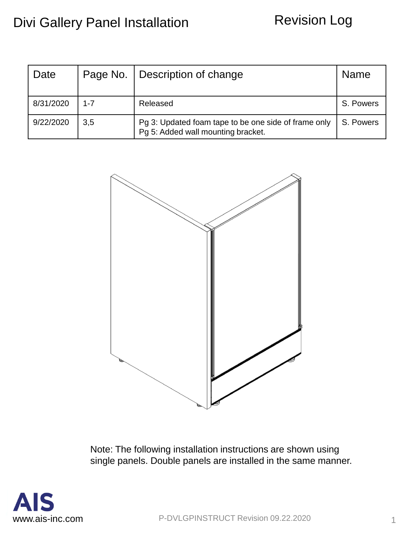## Revision Log

| Date      |         | Page No.   Description of change                                                           | <b>Name</b> |
|-----------|---------|--------------------------------------------------------------------------------------------|-------------|
| 8/31/2020 | $1 - 7$ | Released                                                                                   | S. Powers   |
| 9/22/2020 | 3,5     | Pg 3: Updated foam tape to be one side of frame only<br>Pg 5: Added wall mounting bracket. | S. Powers   |



Note: The following installation instructions are shown using single panels. Double panels are installed in the same manner.

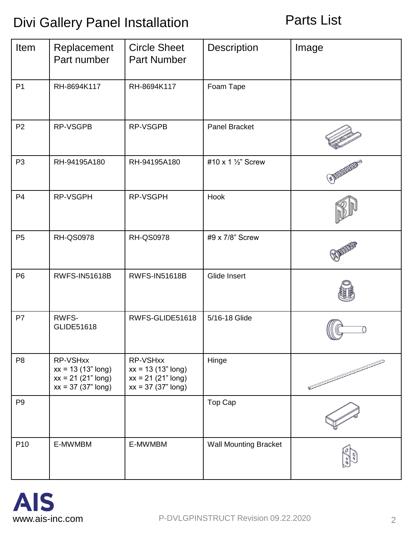Parts List

| Item            | Replacement<br>Part number                                                       | <b>Circle Sheet</b><br><b>Part Number</b>                                        | Description                  | Image |
|-----------------|----------------------------------------------------------------------------------|----------------------------------------------------------------------------------|------------------------------|-------|
| P <sub>1</sub>  | RH-8694K117                                                                      | RH-8694K117                                                                      | Foam Tape                    |       |
| P <sub>2</sub>  | RP-VSGPB                                                                         | RP-VSGPB                                                                         | Panel Bracket                |       |
| P <sub>3</sub>  | RH-94195A180                                                                     | RH-94195A180                                                                     | #10 x 1 1/2" Screw           |       |
| P <sub>4</sub>  | RP-VSGPH                                                                         | RP-VSGPH                                                                         | Hook                         |       |
| P <sub>5</sub>  | <b>RH-QS0978</b>                                                                 | <b>RH-QS0978</b>                                                                 | #9 x 7/8" Screw              |       |
| P <sub>6</sub>  | <b>RWFS-IN51618B</b>                                                             | <b>RWFS-IN51618B</b>                                                             | Glide Insert                 |       |
| P7              | RWFS-<br>GLIDE51618                                                              | RWFS-GLIDE51618                                                                  | 5/16-18 Glide                |       |
| P <sub>8</sub>  | RP-VSHxx<br>$xx = 13 (13" long)$<br>$xx = 21 (21" long)$<br>$xx = 37 (37" long)$ | RP-VSHxx<br>$xx = 13 (13" long)$<br>$xx = 21 (21" long)$<br>$xx = 37 (37" long)$ | Hinge                        |       |
| P <sub>9</sub>  |                                                                                  |                                                                                  | Top Cap                      |       |
| P <sub>10</sub> | E-MWMBM                                                                          | E-MWMBM                                                                          | <b>Wall Mounting Bracket</b> |       |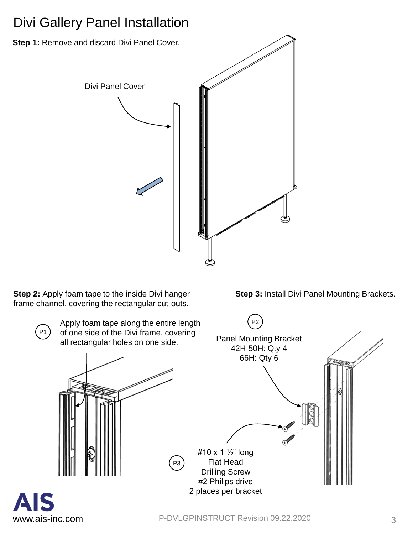

**Step 2:** Apply foam tape to the inside Divi hanger frame channel, covering the rectangular cut-outs.



**Step 3:** Install Divi Panel Mounting Brackets.

P1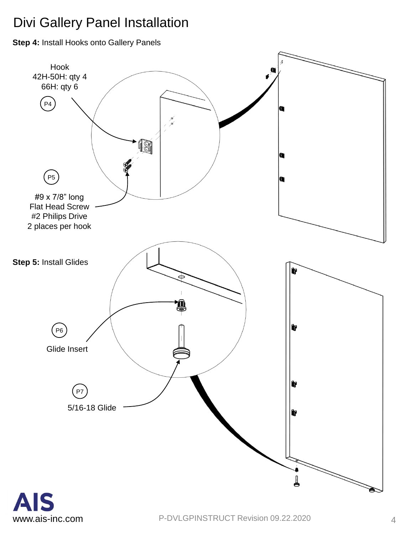**Step 4:** Install Hooks onto Gallery Panels

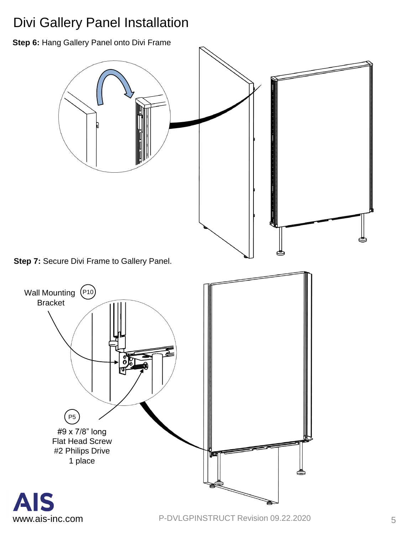**Step 6:** Hang Gallery Panel onto Divi Frame

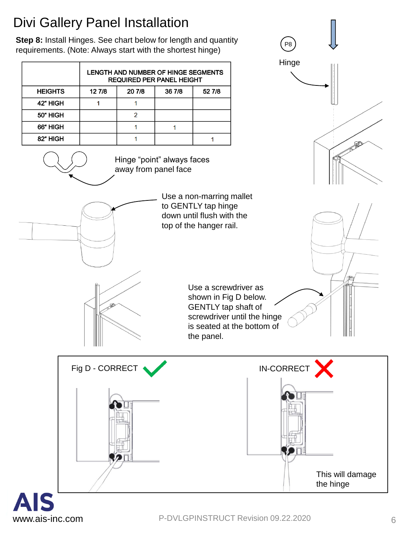**Step 8:** Install Hinges. See chart below for length and quantity requirements. (Note: Always start with the shortest hinge)

|                | LENGTH AND NUMBER OF HINGE SEGMENTS<br><b>REQUIRED PER PANEL HEIGHT</b> |        |        |        |  |
|----------------|-------------------------------------------------------------------------|--------|--------|--------|--|
| <b>HEIGHTS</b> | 12 7/8                                                                  | 20 7/8 | 36 7/8 | 52 7/8 |  |
| 42" HIGH       |                                                                         |        |        |        |  |
| 50" HIGH       |                                                                         |        |        |        |  |
| 66" HIGH       |                                                                         |        |        |        |  |
| 82" HIGH       |                                                                         |        |        |        |  |

Hinge "point" always faces away from panel face

> Use a non-marring mallet to GENTLY tap hinge down until flush with the top of the hanger rail.

> > Use a screwdriver as shown in Fig D below. GENTLY tap shaft of screwdriver until the hinge is seated at the bottom of the panel.

Hinge

**RED** 

 $P8$